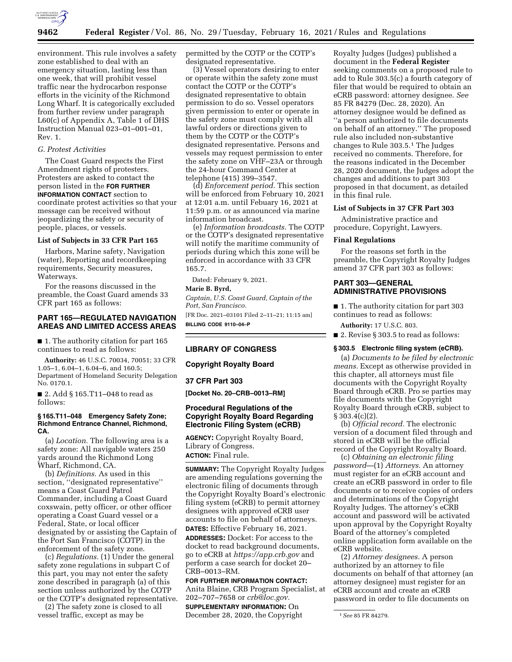

environment. This rule involves a safety zone established to deal with an emergency situation, lasting less than one week, that will prohibit vessel traffic near the hydrocarbon response efforts in the vicinity of the Richmond Long Wharf. It is categorically excluded from further review under paragraph L60(c) of Appendix A, Table 1 of DHS Instruction Manual 023–01–001–01, Rev. 1.

# *G. Protest Activities*

The Coast Guard respects the First Amendment rights of protesters. Protesters are asked to contact the person listed in the **FOR FURTHER INFORMATION CONTACT** section to coordinate protest activities so that your message can be received without jeopardizing the safety or security of people, places, or vessels.

#### **List of Subjects in 33 CFR Part 165**

Harbors, Marine safety, Navigation (water), Reporting and recordkeeping requirements, Security measures, Waterways.

For the reasons discussed in the preamble, the Coast Guard amends 33 CFR part 165 as follows:

# **PART 165—REGULATED NAVIGATION AREAS AND LIMITED ACCESS AREAS**

■ 1. The authority citation for part 165 continues to read as follows:

**Authority:** 46 U.S.C. 70034, 70051; 33 CFR 1.05–1, 6.04–1, 6.04–6, and 160.5; Department of Homeland Security Delegation No. 0170.1.

■ 2. Add § 165.T11–048 to read as follows:

## **§ 165.T11–048 Emergency Safety Zone; Richmond Entrance Channel, Richmond, CA.**

(a) *Location.* The following area is a safety zone: All navigable waters 250 yards around the Richmond Long Wharf, Richmond, CA.

(b) *Definitions.* As used in this section, ''designated representative'' means a Coast Guard Patrol Commander, including a Coast Guard coxswain, petty officer, or other officer operating a Coast Guard vessel or a Federal, State, or local officer designated by or assisting the Captain of the Port San Francisco (COTP) in the enforcement of the safety zone.

(c) *Regulations.* (1) Under the general safety zone regulations in subpart C of this part, you may not enter the safety zone described in paragraph (a) of this section unless authorized by the COTP or the COTP's designated representative.

(2) The safety zone is closed to all vessel traffic, except as may be

permitted by the COTP or the COTP's designated representative.

(3) Vessel operators desiring to enter or operate within the safety zone must contact the COTP or the COTP's designated representative to obtain permission to do so. Vessel operators given permission to enter or operate in the safety zone must comply with all lawful orders or directions given to them by the COTP or the COTP's designated representative. Persons and vessels may request permission to enter the safety zone on VHF–23A or through the 24-hour Command Center at telephone (415) 399–3547.

(d) *Enforcement period.* This section will be enforced from February 10, 2021 at 12:01 a.m. until Febuary 16, 2021 at 11:59 p.m. or as announced via marine information broadcast.

(e) *Information broadcasts.* The COTP or the COTP's designated representative will notify the maritime community of periods during which this zone will be enforced in accordance with 33 CFR 165.7.

Dated: February 9, 2021.

# **Marie B. Byrd,**

*Captain, U.S. Coast Guard, Captain of the Port, San Francisco.* 

[FR Doc. 2021–03101 Filed 2–11–21; 11:15 am] **BILLING CODE 9110–04–P** 

### **LIBRARY OF CONGRESS**

**Copyright Royalty Board** 

#### **37 CFR Part 303**

**[Docket No. 20–CRB–0013–RM]** 

# **Procedural Regulations of the Copyright Royalty Board Regarding Electronic Filing System (eCRB)**

**AGENCY:** Copyright Royalty Board, Library of Congress. **ACTION:** Final rule.

**SUMMARY:** The Copyright Royalty Judges are amending regulations governing the electronic filing of documents through the Copyright Royalty Board's electronic filing system (eCRB) to permit attorney designees with approved eCRB user accounts to file on behalf of attorneys.

**DATES:** Effective February 16, 2021. **ADDRESSES:** Docket: For access to the docket to read background documents, go to eCRB at *<https://app.crb.gov>* and perform a case search for docket 20– CRB–0013–RM.

## **FOR FURTHER INFORMATION CONTACT:**

Anita Blaine, CRB Program Specialist, at 202–707–7658 or *[crb@loc.gov.](mailto:crb@loc.gov)* 

**SUPPLEMENTARY INFORMATION:** On December 28, 2020, the Copyright

Royalty Judges (Judges) published a document in the **Federal Register**  seeking comments on a proposed rule to add to Rule 303.5(c) a fourth category of filer that would be required to obtain an eCRB password: attorney designee. *See*  85 FR 84279 (Dec. 28, 2020). An attorney designee would be defined as ''a person authorized to file documents on behalf of an attorney.'' The proposed rule also included non-substantive changes to Rule 303.5.1 The Judges received no comments. Therefore, for the reasons indicated in the December 28, 2020 document, the Judges adopt the changes and additions to part 303 proposed in that document, as detailed in this final rule.

## **List of Subjects in 37 CFR Part 303**

Administrative practice and procedure, Copyright, Lawyers.

### **Final Regulations**

For the reasons set forth in the preamble, the Copyright Royalty Judges amend 37 CFR part 303 as follows:

#### **PART 303—GENERAL ADMINISTRATIVE PROVISIONS**

■ 1. The authority citation for part 303 continues to read as follows:

**Authority:** 17 U.S.C. 803.

■ 2. Revise § 303.5 to read as follows:

### **§ 303.5 Electronic filing system (eCRB).**

(a) *Documents to be filed by electronic means.* Except as otherwise provided in this chapter, all attorneys must file documents with the Copyright Royalty Board through eCRB. Pro se parties may file documents with the Copyright Royalty Board through eCRB, subject to  $§ 303.4(c)(2).$ 

(b) *Official record.* The electronic version of a document filed through and stored in eCRB will be the official record of the Copyright Royalty Board.

(c) *Obtaining an electronic filing password*—(1) *Attorneys.* An attorney must register for an eCRB account and create an eCRB password in order to file documents or to receive copies of orders and determinations of the Copyright Royalty Judges. The attorney's eCRB account and password will be activated upon approval by the Copyright Royalty Board of the attorney's completed online application form available on the eCRB website.

(2) *Attorney designees.* A person authorized by an attorney to file documents on behalf of that attorney (an attorney designee) must register for an eCRB account and create an eCRB password in order to file documents on

<sup>1</sup>*See* 85 FR 84279.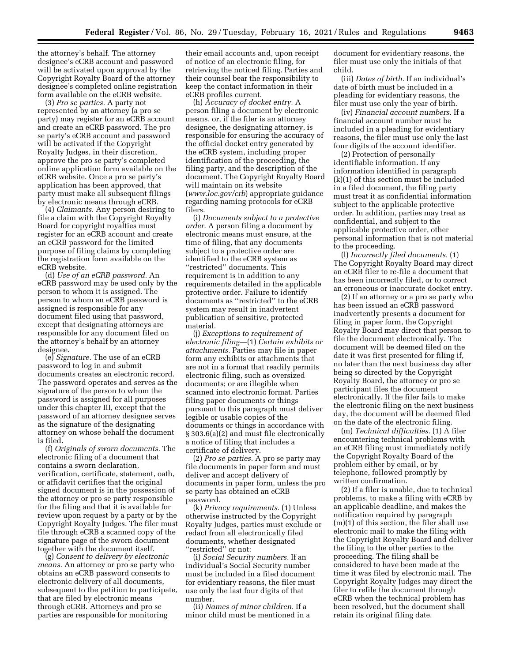the attorney's behalf. The attorney designee's eCRB account and password will be activated upon approval by the Copyright Royalty Board of the attorney designee's completed online registration form available on the eCRB website.

(3) *Pro se parties.* A party not represented by an attorney (a pro se party) may register for an eCRB account and create an eCRB password. The pro se party's eCRB account and password will be activated if the Copyright Royalty Judges, in their discretion, approve the pro se party's completed online application form available on the eCRB website. Once a pro se party's application has been approved, that party must make all subsequent filings by electronic means through eCRB.

(4) *Claimants.* Any person desiring to file a claim with the Copyright Royalty Board for copyright royalties must register for an eCRB account and create an eCRB password for the limited purpose of filing claims by completing the registration form available on the eCRB website.

(d) *Use of an eCRB password.* An eCRB password may be used only by the person to whom it is assigned. The person to whom an eCRB password is assigned is responsible for any document filed using that password, except that designating attorneys are responsible for any document filed on the attorney's behalf by an attorney designee.

(e) *Signature.* The use of an eCRB password to log in and submit documents creates an electronic record. The password operates and serves as the signature of the person to whom the password is assigned for all purposes under this chapter III, except that the password of an attorney designee serves as the signature of the designating attorney on whose behalf the document is filed.

(f) *Originals of sworn documents.* The electronic filing of a document that contains a sworn declaration, verification, certificate, statement, oath, or affidavit certifies that the original signed document is in the possession of the attorney or pro se party responsible for the filing and that it is available for review upon request by a party or by the Copyright Royalty Judges. The filer must file through eCRB a scanned copy of the signature page of the sworn document together with the document itself.

(g) *Consent to delivery by electronic means.* An attorney or pro se party who obtains an eCRB password consents to electronic delivery of all documents, subsequent to the petition to participate, that are filed by electronic means through eCRB. Attorneys and pro se parties are responsible for monitoring

their email accounts and, upon receipt of notice of an electronic filing, for retrieving the noticed filing. Parties and their counsel bear the responsibility to keep the contact information in their eCRB profiles current.

(h) *Accuracy of docket entry.* A person filing a document by electronic means, or, if the filer is an attorney designee, the designating attorney, is responsible for ensuring the accuracy of the official docket entry generated by the eCRB system, including proper identification of the proceeding, the filing party, and the description of the document. The Copyright Royalty Board will maintain on its website (*[www.loc.gov/crb](http://www.loc.gov/crb)*) appropriate guidance regarding naming protocols for eCRB filers.

(i) *Documents subject to a protective order.* A person filing a document by electronic means must ensure, at the time of filing, that any documents subject to a protective order are identified to the eCRB system as ''restricted'' documents. This requirement is in addition to any requirements detailed in the applicable protective order. Failure to identify documents as ''restricted'' to the eCRB system may result in inadvertent publication of sensitive, protected material.

(j) *Exceptions to requirement of electronic filing*—(1) *Certain exhibits or attachments.* Parties may file in paper form any exhibits or attachments that are not in a format that readily permits electronic filing, such as oversized documents; or are illegible when scanned into electronic format. Parties filing paper documents or things pursuant to this paragraph must deliver legible or usable copies of the documents or things in accordance with § 303.6(a)(2) and must file electronically a notice of filing that includes a certificate of delivery.

(2) *Pro se parties.* A pro se party may file documents in paper form and must deliver and accept delivery of documents in paper form, unless the pro se party has obtained an eCRB password.

(k) *Privacy requirements.* (1) Unless otherwise instructed by the Copyright Royalty Judges, parties must exclude or redact from all electronically filed documents, whether designated ''restricted'' or not:

(i) *Social Security numbers.* If an individual's Social Security number must be included in a filed document for evidentiary reasons, the filer must use only the last four digits of that number.

(ii) *Names of minor children.* If a minor child must be mentioned in a

document for evidentiary reasons, the filer must use only the initials of that child.

(iii) *Dates of birth.* If an individual's date of birth must be included in a pleading for evidentiary reasons, the filer must use only the year of birth.

(iv) *Financial account numbers.* If a financial account number must be included in a pleading for evidentiary reasons, the filer must use only the last four digits of the account identifier.

(2) Protection of personally identifiable information. If any information identified in paragraph (k)(1) of this section must be included in a filed document, the filing party must treat it as confidential information subject to the applicable protective order. In addition, parties may treat as confidential, and subject to the applicable protective order, other personal information that is not material to the proceeding.

(l) *Incorrectly filed documents.* (1) The Copyright Royalty Board may direct an eCRB filer to re-file a document that has been incorrectly filed, or to correct an erroneous or inaccurate docket entry.

(2) If an attorney or a pro se party who has been issued an eCRB password inadvertently presents a document for filing in paper form, the Copyright Royalty Board may direct that person to file the document electronically. The document will be deemed filed on the date it was first presented for filing if, no later than the next business day after being so directed by the Copyright Royalty Board, the attorney or pro se participant files the document electronically. If the filer fails to make the electronic filing on the next business day, the document will be deemed filed on the date of the electronic filing.

(m) *Technical difficulties.* (1) A filer encountering technical problems with an eCRB filing must immediately notify the Copyright Royalty Board of the problem either by email, or by telephone, followed promptly by written confirmation.

(2) If a filer is unable, due to technical problems, to make a filing with eCRB by an applicable deadline, and makes the notification required by paragraph (m)(1) of this section, the filer shall use electronic mail to make the filing with the Copyright Royalty Board and deliver the filing to the other parties to the proceeding. The filing shall be considered to have been made at the time it was filed by electronic mail. The Copyright Royalty Judges may direct the filer to refile the document through eCRB when the technical problem has been resolved, but the document shall retain its original filing date.